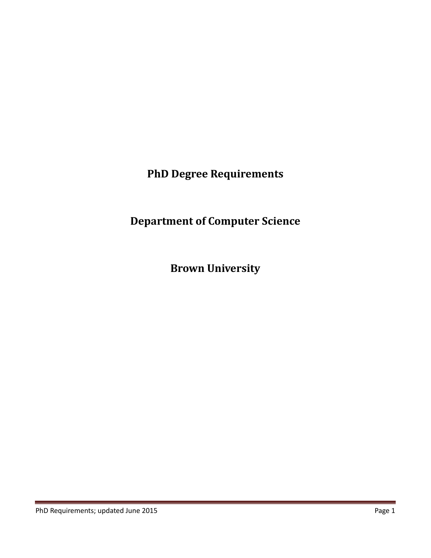**PhD Degree Requirements**

**Department of Computer Science**

**Brown University**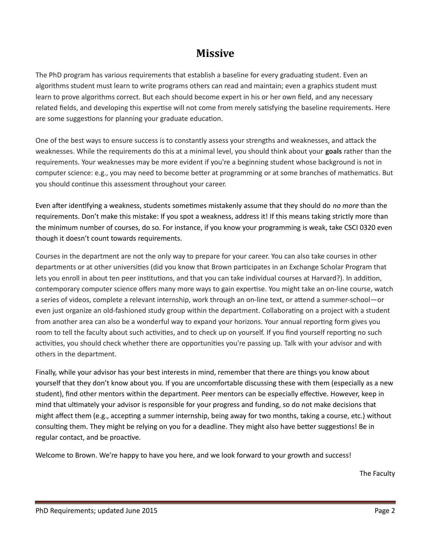# **Missive**

The PhD program has various requirements that establish a baseline for every graduating student. Even an algorithms student must learn to write programs others can read and maintain; even a graphics student must learn to prove algorithms correct. But each should become expert in his or her own field, and any necessary related fields, and developing this expertise will not come from merely satisfying the baseline requirements. Here are some suggestions for planning your graduate education.

One of the best ways to ensure success is to constantly assess your strengths and weaknesses, and attack the weaknesses. While the requirements do this at a minimal level, you should think about your **goals** rather than the requirements. Your weaknesses may be more evident if you're a beginning student whose background is not in computer science: e.g., you may need to become better at programming or at some branches of mathematics. But you should continue this assessment throughout your career.

Even after identifying a weakness, students sometimes mistakenly assume that they should do *no more* than the requirements. Don't make this mistake: If you spot a weakness, address it! If this means taking strictly more than the minimum number of courses, do so. For instance, if you know your programming is weak, take CSCI 0320 even though it doesn't count towards requirements.

Courses in the department are not the only way to prepare for your career. You can also take courses in other departments or at other universities (did you know that Brown participates in an Exchange Scholar Program that lets you enroll in about ten peer institutions, and that you can take individual courses at Harvard?). In addition, contemporary computer science offers many more ways to gain expertise. You might take an on-line course, watch a series of videos, complete a relevant internship, work through an on-line text, or attend a summer-school—or even just organize an old-fashioned study group within the department. Collaborating on a project with a student from another area can also be a wonderful way to expand your horizons. Your annual reporting form gives you room to tell the faculty about such activities, and to check up on yourself. If you find yourself reporting no such activities, you should check whether there are opportunities you're passing up. Talk with your advisor and with others in the department.

Finally, while your advisor has your best interests in mind, remember that there are things you know about yourself that they don't know about you. If you are uncomfortable discussing these with them (especially as a new student), find other mentors within the department. Peer mentors can be especially effective. However, keep in mind that ultimately your advisor is responsible for your progress and funding, so do not make decisions that might affect them (e.g., accepting a summer internship, being away for two months, taking a course, etc.) without consulting them. They might be relying on you for a deadline. They might also have better suggestions! Be in regular contact, and be proactive.

Welcome to Brown. We're happy to have you here, and we look forward to your growth and success!

The Faculty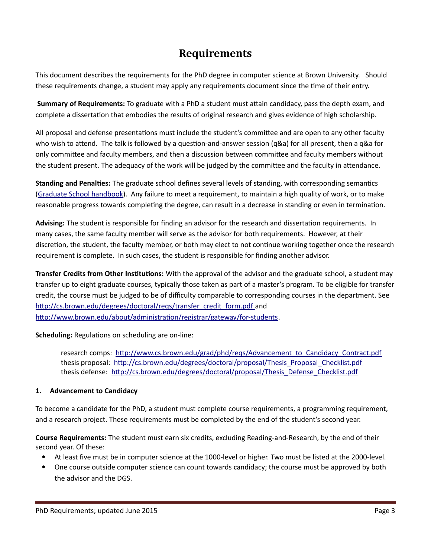# **Requirements**

This document describes the requirements for the PhD degree in computer science at Brown University. Should these requirements change, a student may apply any requirements document since the time of their entry.

**Summary of Requirements:** To graduate with a PhD a student must attain candidacy, pass the depth exam, and complete a dissertation that embodies the results of original research and gives evidence of high scholarship.

All proposal and defense presentations must include the student's committee and are open to any other faculty who wish to attend. The talk is followed by a question-and-answer session (q&a) for all present, then a q&a for only committee and faculty members, and then a discussion between committee and faculty members without the student present. The adequacy of the work will be judged by the committee and the faculty in attendance.

**Standing and Penalties:** The graduate school defines several levels of standing, with corresponding semantics [\(Graduate School handbook\)](http://www.brown.edu/academics/gradschool/sites/brown.edu.academics.gradschool/files/uploads/GS%20Handbook%20edition%2013%20v6_0.pdf). Any failure to meet a requirement, to maintain a high quality of work, or to make reasonable progress towards completing the degree, can result in a decrease in standing or even in termination.

**Advising:** The student is responsible for finding an advisor for the research and dissertation requirements. In many cases, the same faculty member will serve as the advisor for both requirements. However, at their discretion, the student, the faculty member, or both may elect to not continue working together once the research requirement is complete. In such cases, the student is responsible for finding another advisor.

**Transfer Credits from Other Institutions:** With the approval of the advisor and the graduate school, a student may transfer up to eight graduate courses, typically those taken as part of a master's program. To be eligible for transfer credit, the course must be judged to be of difficulty comparable to corresponding courses in the department. See http://cs.brown.edu/degrees/doctoral/regs/transfer\_credit\_form.pdf and [http://www.brown.edu/about/administration/registrar/gateway/for-students.](http://www.brown.edu/about/administration/registrar/gateway/for-students)

**Scheduling:** Regulations on scheduling are on-line:

research comps: [http://www.cs.brown.edu/grad/phd/reqs/Advancement\\_to\\_Candidacy\\_Contract.pdf](http://www.cs.brown.edu/grad/phd/reqs/Advancement_to_Candidacy_Contract.pdf) thesis proposal: [http://cs.brown.edu/degrees/doctoral/proposal/Thesis\\_Proposal\\_Checklist.pdf](http://cs.brown.edu/degrees/doctoral/proposal/Thesis_Proposal_Checklist.pdf) thesis defense: [http://cs.brown.edu/degrees/doctoral/proposal/Thesis\\_Defense\\_Checklist.pdf](http://cs.brown.edu/degrees/doctoral/proposal/Thesis_Defense_Checklist.pdf)

## **1. Advancement to Candidacy**

To become a candidate for the PhD, a student must complete course requirements, a programming requirement, and a research project. These requirements must be completed by the end of the student's second year.

**Course Requirements:** The student must earn six credits, excluding Reading-and-Research, by the end of their second year. Of these:

- At least five must be in computer science at the 1000-level or higher. Two must be listed at the 2000-level.
- One course outside computer science can count towards candidacy; the course must be approved by both the advisor and the DGS.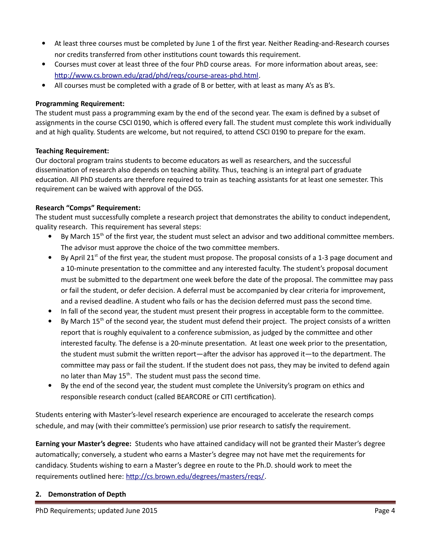- At least three courses must be completed by June 1 of the first year. Neither Reading-and-Research courses nor credits transferred from other institutions count towards this requirement.
- Courses must cover at least three of the four PhD course areas. For more information about areas, see: [http://www.cs.brown.edu/grad/phd/reqs/course-areas-phd.html.](http://www.cs.brown.edu/grad/phd/reqs/course-areas-phd.html)
- All courses must be completed with a grade of B or better, with at least as many A's as B's.

## **Programming Requirement:**

The student must pass a programming exam by the end of the second year. The exam is defined by a subset of assignments in the course CSCI 0190, which is offered every fall. The student must complete this work individually and at high quality. Students are welcome, but not required, to attend CSCI 0190 to prepare for the exam.

## **Teaching Requirement:**

Our doctoral program trains students to become educators as well as researchers, and the successful dissemination of research also depends on teaching ability. Thus, teaching is an integral part of graduate education. All PhD students are therefore required to train as teaching assistants for at least one semester. This requirement can be waived with approval of the DGS.

## **Research "Comps" Requirement:**

The student must successfully complete a research project that demonstrates the ability to conduct independent, quality research. This requirement has several steps:

- By March  $15<sup>th</sup>$  of the first year, the student must select an advisor and two additional committee members. The advisor must approve the choice of the two committee members.
- $\bullet$  By April 21<sup>st</sup> of the first year, the student must propose. The proposal consists of a 1-3 page document and a 10-minute presentation to the committee and any interested faculty. The student's proposal document must be submitted to the department one week before the date of the proposal. The committee may pass or fail the student, or defer decision. A deferral must be accompanied by clear criteria for improvement, and a revised deadline. A student who fails or has the decision deferred must pass the second time.
- In fall of the second year, the student must present their progress in acceptable form to the committee.
- By March  $15<sup>th</sup>$  of the second year, the student must defend their project. The project consists of a written report that is roughly equivalent to a conference submission, as judged by the committee and other interested faculty. The defense is a 20-minute presentation. At least one week prior to the presentation, the student must submit the written report—after the advisor has approved it—to the department. The committee may pass or fail the student. If the student does not pass, they may be invited to defend again no later than May  $15<sup>th</sup>$ . The student must pass the second time.
- By the end of the second year, the student must complete the University's program on ethics and responsible research conduct (called BEARCORE or CITI certification).

Students entering with Master's-level research experience are encouraged to accelerate the research comps schedule, and may (with their committee's permission) use prior research to satisfy the requirement.

**Earning your Master's degree:** Students who have attained candidacy will not be granted their Master's degree automatically; conversely, a student who earns a Master's degree may not have met the requirements for candidacy. Students wishing to earn a Master's degree en route to the Ph.D. should work to meet the requirements outlined here: [http://cs.brown.edu/degrees/masters/reqs/.](http://cs.brown.edu/degrees/masters/reqs/)

## **2. Demonstration of Depth**